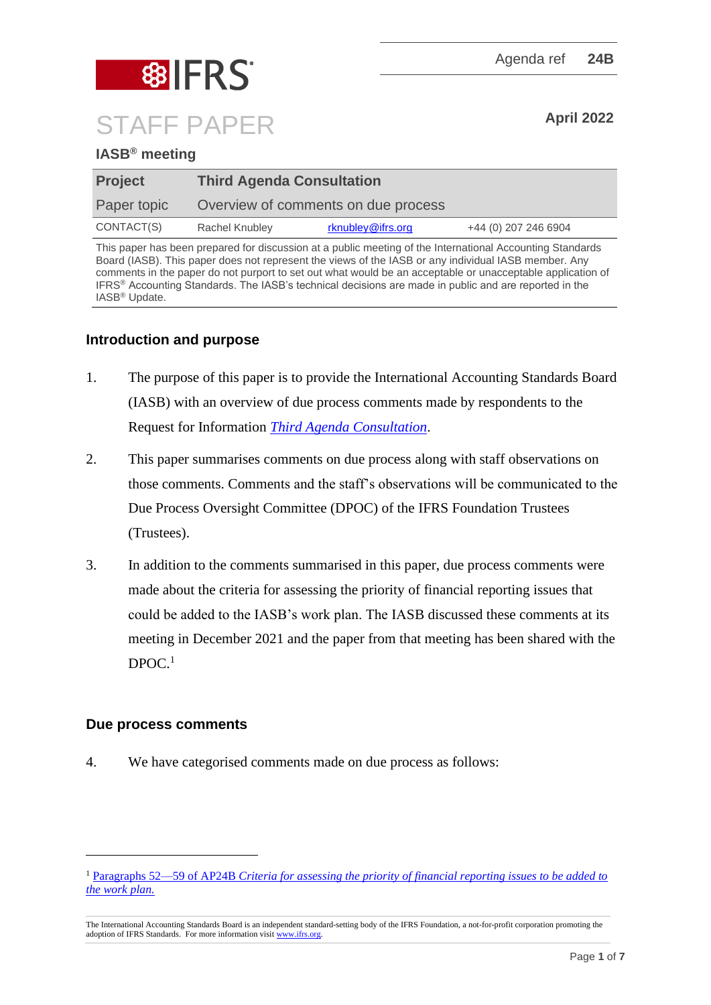

# **IASB® meeting**

| <b>Project</b> | <b>Third Agenda Consultation</b>    |                   |                      |
|----------------|-------------------------------------|-------------------|----------------------|
| Paper topic    | Overview of comments on due process |                   |                      |
| CONTACT(S)     | Rachel Knubley                      | rknubley@ifrs.org | +44 (0) 207 246 6904 |

This paper has been prepared for discussion at a public meeting of the International Accounting Standards Board (IASB). This paper does not represent the views of the IASB or any individual IASB member. Any comments in the paper do not purport to set out what would be an acceptable or unacceptable application of IFRS® Accounting Standards. The IASB's technical decisions are made in public and are reported in the IASB® Update.

## **Introduction and purpose**

- 1. The purpose of this paper is to provide the International Accounting Standards Board (IASB) with an overview of due process comments made by respondents to the Request for Information *[Third Agenda Consultation](https://www.ifrs.org/content/dam/ifrs/project/third-agenda-consultation/rfi-third-agenda-consultation-2021.pdf)*.
- 2. This paper summarises comments on due process along with staff observations on those comments. Comments and the staff's observations will be communicated to the Due Process Oversight Committee (DPOC) of the IFRS Foundation Trustees (Trustees).
- 3. In addition to the comments summarised in this paper, due process comments were made about the criteria for assessing the priority of financial reporting issues that could be added to the IASB's work plan. The IASB discussed these comments at its meeting in December 2021 and the paper from that meeting has been shared with the DPOC. 1

## **Due process comments**

4. We have categorised comments made on due process as follows:

<sup>1</sup> Paragraphs 52—59 of AP24B *Criteria for assessing the priority [of financial reporting issues to be added to](https://www.ifrs.org/content/dam/ifrs/meetings/2021/december/iasb/ap24b-third-agenda-consultation-criteria-for-assessing-the-priority-of-financial-reporting-issues-for-posting.pdf)  [the work plan.](https://www.ifrs.org/content/dam/ifrs/meetings/2021/december/iasb/ap24b-third-agenda-consultation-criteria-for-assessing-the-priority-of-financial-reporting-issues-for-posting.pdf)*

The International Accounting Standards Board is an independent standard-setting body of the IFRS Foundation, a not-for-profit corporation promoting the adoption of IFRS Standards. For more information visi[t www.ifrs.org.](http://www.ifrs.org/)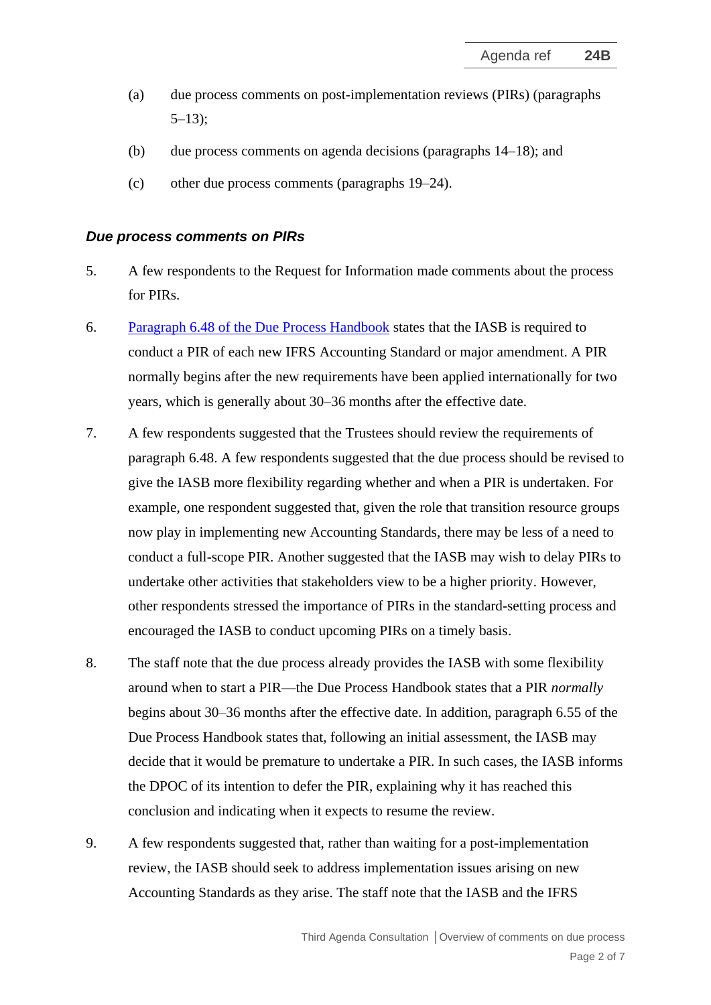- (a) due process comments on post-implementation reviews (PIRs) (paragraphs  $5-13$ :
- (b) due process comments on agenda decisions (paragraphs [14–](#page-3-0)[18\)](#page-4-0); and
- (c) other due process comments (paragraphs [19–](#page-5-0)[24\)](#page-6-0).

#### *Due process comments on PIRs*

- <span id="page-1-0"></span>5. A few respondents to the Request for Information made comments about the process for PIRs.
- 6. [Paragraph 6.48 of the Due Process Handbook](https://www.ifrs.org/content/dam/ifrs/about-us/legal-and-governance/constitution-docs/due-process-handbook-2020.pdf) states that the IASB is required to conduct a PIR of each new IFRS Accounting Standard or major amendment. A PIR normally begins after the new requirements have been applied internationally for two years, which is generally about 30–36 months after the effective date.
- 7. A few respondents suggested that the Trustees should review the requirements of paragraph 6.48. A few respondents suggested that the due process should be revised to give the IASB more flexibility regarding whether and when a PIR is undertaken. For example, one respondent suggested that, given the role that transition resource groups now play in implementing new Accounting Standards, there may be less of a need to conduct a full-scope PIR. Another suggested that the IASB may wish to delay PIRs to undertake other activities that stakeholders view to be a higher priority. However, other respondents stressed the importance of PIRs in the standard-setting process and encouraged the IASB to conduct upcoming PIRs on a timely basis.
- 8. The staff note that the due process already provides the IASB with some flexibility around when to start a PIR—the Due Process Handbook states that a PIR *normally* begins about 30–36 months after the effective date. In addition, paragraph 6.55 of the Due Process Handbook states that, following an initial assessment, the IASB may decide that it would be premature to undertake a PIR. In such cases, the IASB informs the DPOC of its intention to defer the PIR, explaining why it has reached this conclusion and indicating when it expects to resume the review.
- 9. A few respondents suggested that, rather than waiting for a post-implementation review, the IASB should seek to address implementation issues arising on new Accounting Standards as they arise. The staff note that the IASB and the IFRS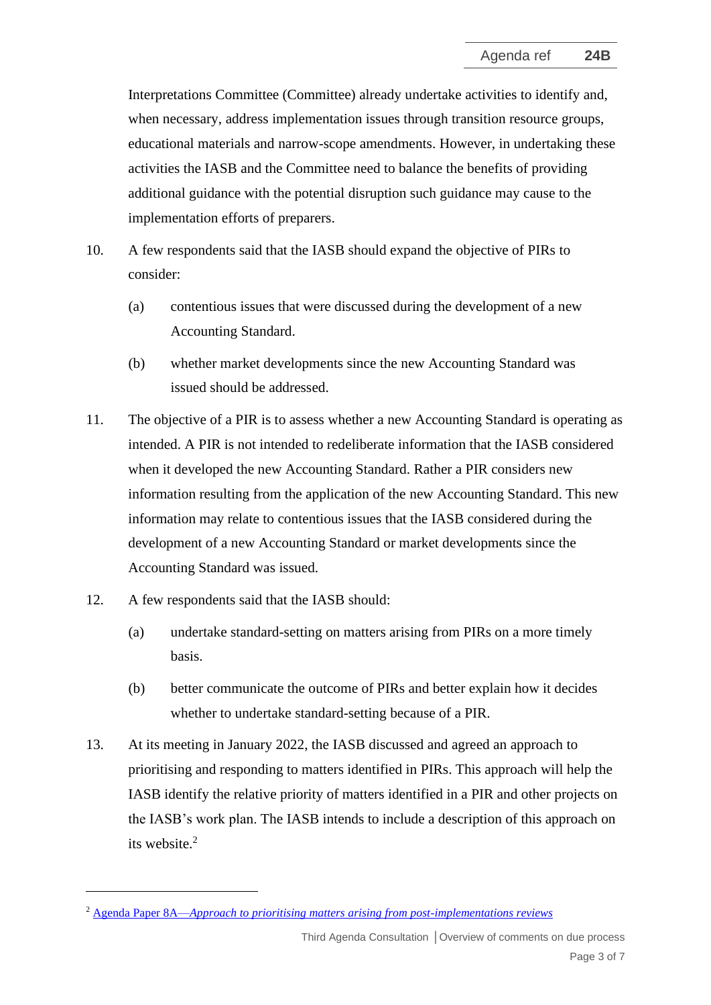Interpretations Committee (Committee) already undertake activities to identify and, when necessary, address implementation issues through transition resource groups, educational materials and narrow-scope amendments. However, in undertaking these activities the IASB and the Committee need to balance the benefits of providing additional guidance with the potential disruption such guidance may cause to the implementation efforts of preparers.

- 10. A few respondents said that the IASB should expand the objective of PIRs to consider:
	- (a) contentious issues that were discussed during the development of a new Accounting Standard.
	- (b) whether market developments since the new Accounting Standard was issued should be addressed.
- 11. The objective of a PIR is to assess whether a new Accounting Standard is operating as intended. A PIR is not intended to redeliberate information that the IASB considered when it developed the new Accounting Standard. Rather a PIR considers new information resulting from the application of the new Accounting Standard. This new information may relate to contentious issues that the IASB considered during the development of a new Accounting Standard or market developments since the Accounting Standard was issued.
- 12. A few respondents said that the IASB should:
	- (a) undertake standard-setting on matters arising from PIRs on a more timely basis.
	- (b) better communicate the outcome of PIRs and better explain how it decides whether to undertake standard-setting because of a PIR.
- <span id="page-2-0"></span>13. At its meeting in January 2022, the IASB discussed and agreed an approach to prioritising and responding to matters identified in PIRs. This approach will help the IASB identify the relative priority of matters identified in a PIR and other projects on the IASB's work plan. The IASB intends to include a description of this approach on its website.<sup>2</sup>

<sup>2</sup> Agenda Paper 8A—*[Approach to prioritising matters arising from post-implementations reviews](https://www.ifrs.org/content/dam/ifrs/meetings/2022/january/iasb/ap8a-pir-outcome-prioritisation.pdf)*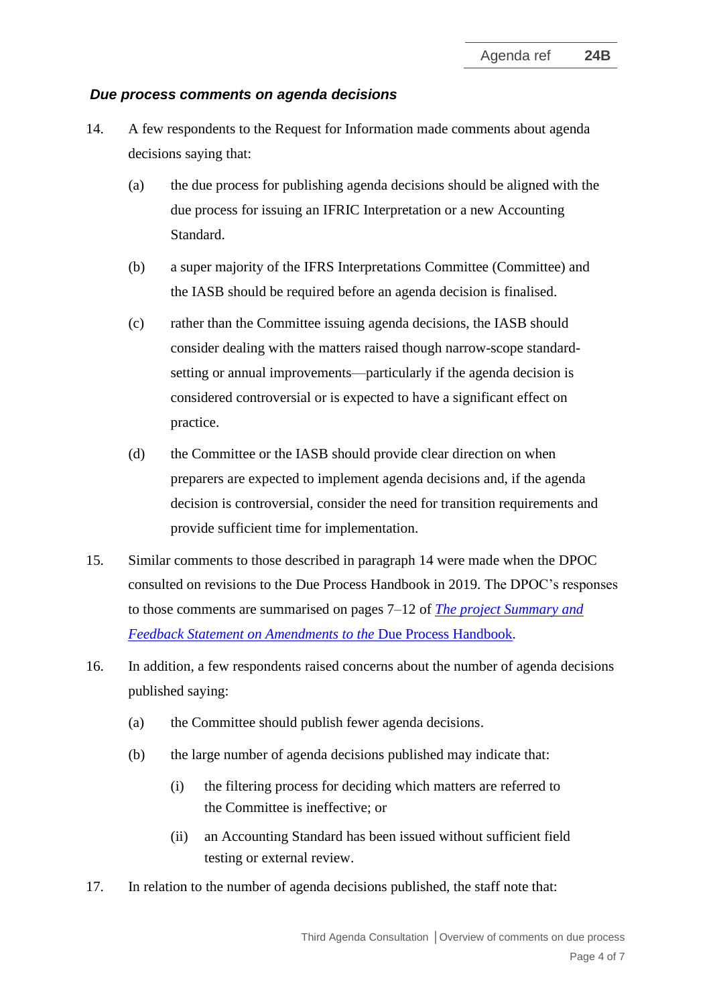#### *Due process comments on agenda decisions*

- <span id="page-3-0"></span>14. A few respondents to the Request for Information made comments about agenda decisions saying that:
	- (a) the due process for publishing agenda decisions should be aligned with the due process for issuing an IFRIC Interpretation or a new Accounting Standard.
	- (b) a super majority of the IFRS Interpretations Committee (Committee) and the IASB should be required before an agenda decision is finalised.
	- (c) rather than the Committee issuing agenda decisions, the IASB should consider dealing with the matters raised though narrow-scope standardsetting or annual improvements—particularly if the agenda decision is considered controversial or is expected to have a significant effect on practice.
	- (d) the Committee or the IASB should provide clear direction on when preparers are expected to implement agenda decisions and, if the agenda decision is controversial, consider the need for transition requirements and provide sufficient time for implementation.
- 15. Similar comments to those described in paragraph [14](#page-3-0) were made when the DPOC consulted on revisions to the Due Process Handbook in 2019. The DPOC's responses to those comments are summarised on pages 7–12 of *[The project Summary and](https://www.ifrs.org/content/dam/ifrs/project/due-process-handbook-review/ps-fbs-dueprocess-aug2020.pdf)  Feedback Statement on Amendments to the* [Due Process Handbook.](https://www.ifrs.org/content/dam/ifrs/project/due-process-handbook-review/ps-fbs-dueprocess-aug2020.pdf)
- 16. In addition, a few respondents raised concerns about the number of agenda decisions published saying:
	- (a) the Committee should publish fewer agenda decisions.
	- (b) the large number of agenda decisions published may indicate that:
		- (i) the filtering process for deciding which matters are referred to the Committee is ineffective; or
		- (ii) an Accounting Standard has been issued without sufficient field testing or external review.
- 17. In relation to the number of agenda decisions published, the staff note that: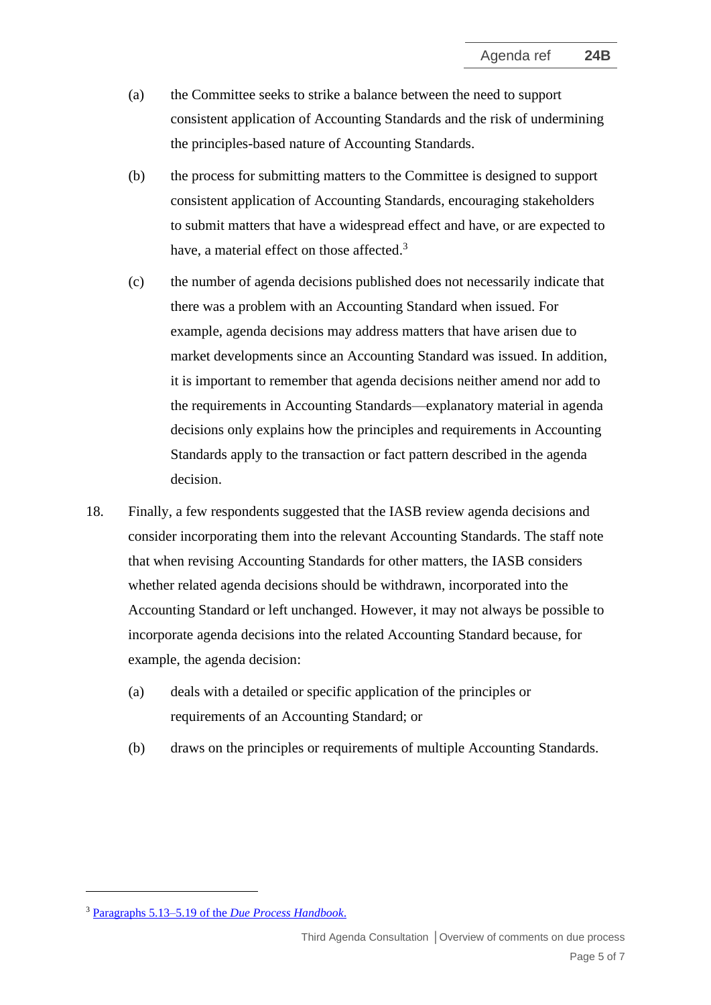- (a) the Committee seeks to strike a balance between the need to support consistent application of Accounting Standards and the risk of undermining the principles-based nature of Accounting Standards.
- (b) the process for submitting matters to the Committee is designed to support consistent application of Accounting Standards, encouraging stakeholders to submit matters that have a widespread effect and have, or are expected to have, a material effect on those affected.<sup>3</sup>
- (c) the number of agenda decisions published does not necessarily indicate that there was a problem with an Accounting Standard when issued. For example, agenda decisions may address matters that have arisen due to market developments since an Accounting Standard was issued. In addition, it is important to remember that agenda decisions neither amend nor add to the requirements in Accounting Standards—explanatory material in agenda decisions only explains how the principles and requirements in Accounting Standards apply to the transaction or fact pattern described in the agenda decision.
- <span id="page-4-0"></span>18. Finally, a few respondents suggested that the IASB review agenda decisions and consider incorporating them into the relevant Accounting Standards. The staff note that when revising Accounting Standards for other matters, the IASB considers whether related agenda decisions should be withdrawn, incorporated into the Accounting Standard or left unchanged. However, it may not always be possible to incorporate agenda decisions into the related Accounting Standard because, for example, the agenda decision:
	- (a) deals with a detailed or specific application of the principles or requirements of an Accounting Standard; or
	- (b) draws on the principles or requirements of multiple Accounting Standards.

<sup>3</sup> Paragraphs 5.13–5.19 of the *[Due Process Handbook](https://cdn.ifrs.org/content/dam/ifrs/about-us/legal-and-governance/constitution-docs/due-process-handbook-2020.pdf?la=en)*.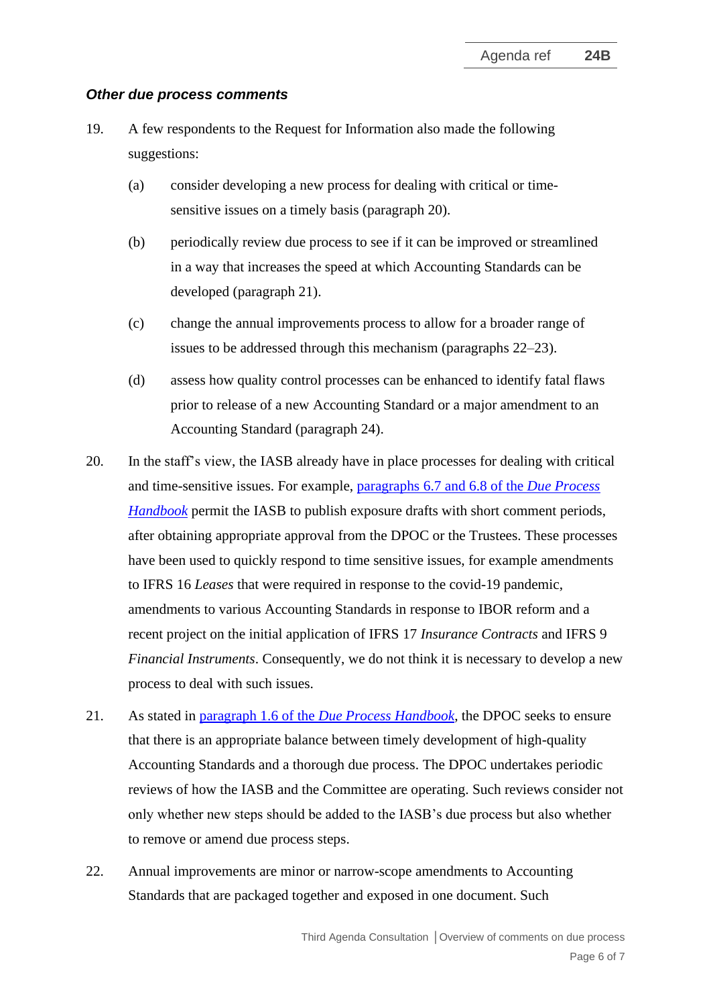#### *Other due process comments*

- <span id="page-5-0"></span>19. A few respondents to the Request for Information also made the following suggestions:
	- (a) consider developing a new process for dealing with critical or timesensitive issues on a timely basis (paragraph [20\)](#page-5-1).
	- (b) periodically review due process to see if it can be improved or streamlined in a way that increases the speed at which Accounting Standards can be developed (paragraph [21\)](#page-5-2).
	- (c) change the annual improvements process to allow for a broader range of issues to be addressed through this mechanism (paragraphs [22](#page-5-3)[–23\)](#page-6-1).
	- (d) assess how quality control processes can be enhanced to identify fatal flaws prior to release of a new Accounting Standard or a major amendment to an Accounting Standard (paragraph [24\)](#page-6-0).
- <span id="page-5-1"></span>20. In the staff's view, the IASB already have in place processes for dealing with critical and time-sensitive issues. For example, paragraphs [6.7 and 6.8 of the](https://www.ifrs.org/content/dam/ifrs/about-us/legal-and-governance/constitution-docs/due-process-handbook-2020.pdf) *Due Process [Handbook](https://www.ifrs.org/content/dam/ifrs/about-us/legal-and-governance/constitution-docs/due-process-handbook-2020.pdf)* permit the IASB to publish exposure drafts with short comment periods, after obtaining appropriate approval from the DPOC or the Trustees. These processes have been used to quickly respond to time sensitive issues, for example amendments to IFRS 16 *Leases* that were required in response to the covid-19 pandemic, amendments to various Accounting Standards in response to IBOR reform and a recent project on the initial application of IFRS 17 *Insurance Contracts* and IFRS 9 *Financial Instruments*. Consequently, we do not think it is necessary to develop a new process to deal with such issues.
- <span id="page-5-2"></span>21. As stated in paragraph 1.6 of the *[Due Process](https://www.ifrs.org/content/dam/ifrs/about-us/legal-and-governance/constitution-docs/due-process-handbook-2020.pdf) Handbook*, the DPOC seeks to ensure that there is an appropriate balance between timely development of high-quality Accounting Standards and a thorough due process. The DPOC undertakes periodic reviews of how the IASB and the Committee are operating. Such reviews consider not only whether new steps should be added to the IASB's due process but also whether to remove or amend due process steps.
- <span id="page-5-3"></span>22. Annual improvements are minor or narrow-scope amendments to Accounting Standards that are packaged together and exposed in one document. Such